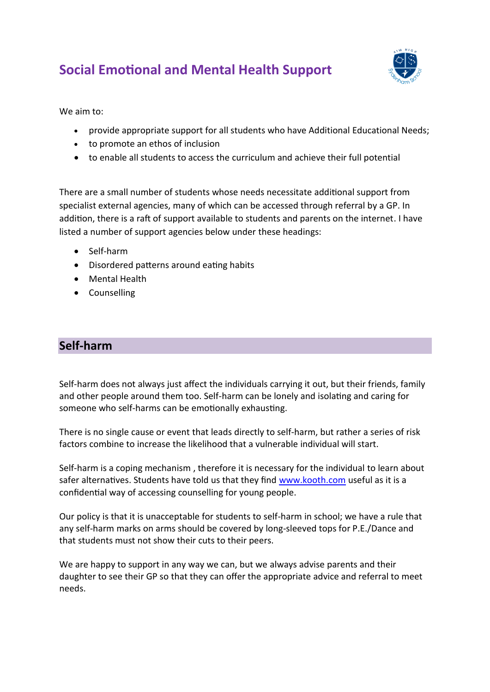# **Social Emotional and Mental Health Support**



We aim to:

- provide appropriate support for all students who have Additional Educational Needs;
- to promote an ethos of inclusion
- to enable all students to access the curriculum and achieve their full potential

There are a small number of students whose needs necessitate additional support from specialist external agencies, many of which can be accessed through referral by a GP. In addition, there is a raft of support available to students and parents on the internet. I have listed a number of support agencies below under these headings:

- Self-harm
- Disordered patterns around eating habits
- Mental Health
- Counselling

## **Self-harm**

Self-harm does not always just affect the individuals carrying it out, but their friends, family and other people around them too. Self-harm can be lonely and isolating and caring for someone who self-harms can be emotionally exhausting.

There is no single cause or event that leads directly to self-harm, but rather a series of risk factors combine to increase the likelihood that a vulnerable individual will start.

Self-harm is a coping mechanism , therefore it is necessary for the individual to learn about safer alternatives. Students have told us that they find [www.kooth.com](http://www.kooth.com/) useful as it is a confidential way of accessing counselling for young people.

Our policy is that it is unacceptable for students to self-harm in school; we have a rule that any self-harm marks on arms should be covered by long-sleeved tops for P.E./Dance and that students must not show their cuts to their peers.

We are happy to support in any way we can, but we always advise parents and their daughter to see their GP so that they can offer the appropriate advice and referral to meet needs.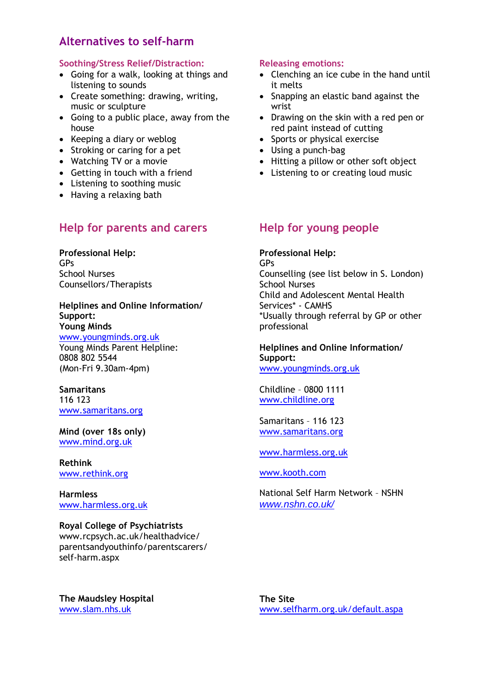## **Alternatives to self-harm**

#### **Soothing/Stress Relief/Distraction:**

- Going for a walk, looking at things and listening to sounds
- Create something: drawing, writing, music or sculpture
- Going to a public place, away from the house
- Keeping a diary or weblog
- Stroking or caring for a pet
- Watching TV or a movie
- Getting in touch with a friend
- Listening to soothing music
- Having a relaxing bath

## **Help for parents and carers**

**Professional Help:** GPs School Nurses Counsellors/Therapists

**Helplines and Online Information/ Support: Young Minds**

[www.youngminds.org.uk](http://www.youngminds.org.uk/) Young Minds Parent Helpline: 0808 802 5544 (Mon-Fri 9.30am-4pm)

**Samaritans** 116 123 [www.samaritans.org](http://www.samaritans.org/)

**Mind (over 18s only)** [www.mind.org.uk](http://www.mind.org.uk/)

**Rethink** [www.rethink.org](http://www.rethink.org/)

**Harmless** [www.harmless.org.uk](http://www.harmless.org.uk/)

## **Royal College of Psychiatrists**

www.rcpsych.ac.uk/healthadvice/ parentsandyouthinfo/parentscarers/ self-harm.aspx

### **The Maudsley Hospital** [www.slam.nhs.uk](http://www.slam.nhs.uk/)

## **Releasing emotions:**

- Clenching an ice cube in the hand until it melts
- Snapping an elastic band against the wrist
- Drawing on the skin with a red pen or red paint instead of cutting
- Sports or physical exercise
- Using a punch-bag
- Hitting a pillow or other soft object
- Listening to or creating loud music

## **Help for young people**

**Professional Help:** GPs Counselling (see list below in S. London) School Nurses Child and Adolescent Mental Health Services\* - CAMHS \*Usually through referral by GP or other professional

## **Helplines and Online Information/ Support:**

[www.youngminds.org.uk](http://www.youngminds.org.uk/)

Childline – 0800 1111 [www.childline.org](http://www.childline.org/)

Samaritans – 116 123 [www.samaritans.org](http://www.samaritans.org/)

## [www.harmless.org.uk](http://www.harmless.org.uk/)

[www.kooth.com](http://www.kooth.com/)

National Self Harm Network – NSHN *[www.nshn.co.uk/](http://www.nshn.co.uk/)*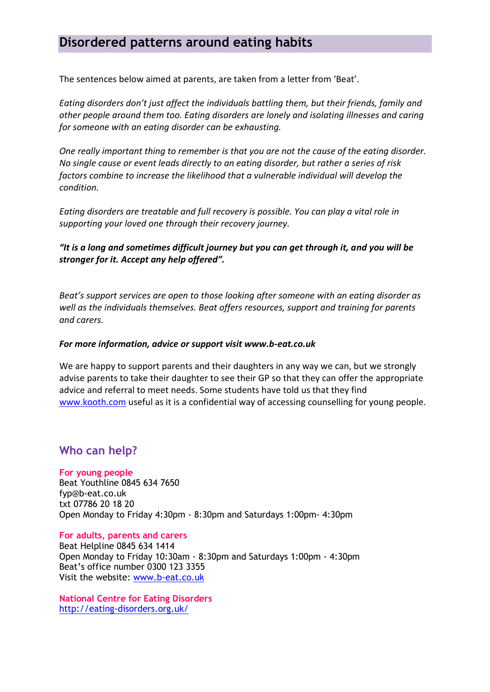## **Disordered patterns around eating habits**

The sentences below aimed at parents, are taken from a letter from 'Beat'.

*Eating disorders don't just affect the individuals battling them, but their friends, family and other people around them too. Eating disorders are lonely and isolating illnesses and caring for someone with an eating disorder can be exhausting.* 

*One really important thing to remember is that you are not the cause of the eating disorder. No single cause or event leads directly to an eating disorder, but rather a series of risk factors combine to increase the likelihood that a vulnerable individual will develop the condition.* 

*Eating disorders are treatable and full recovery is possible. You can play a vital role in supporting your loved one through their recovery journey.* 

*"It is a long and sometimes difficult journey but you can get through it, and you will be stronger for it. Accept any help offered".* 

*Beat's support services are open to those looking after someone with an eating disorder as well as the individuals themselves. Beat offers resources, support and training for parents and carers.* 

## *For more information, advice or support visit www.b-eat.co.uk*

We are happy to support parents and their daughters in any way we can, but we strongly advise parents to take their daughter to see their GP so that they can offer the appropriate advice and referral to meet needs. Some students have told us that they find [www.kooth.com](http://www.kooth.com/) useful as it is a confidential way of accessing counselling for young people.

## **Who can help?**

**For young people** Beat Youthline 0845 634 7650 fyp@b-eat.co.uk txt 07786 20 18 20 Open Monday to Friday 4:30pm - 8:30pm and Saturdays 1:00pm- 4:30pm

**For adults, parents and carers** Beat Helpline 0845 634 1414 Open Monday to Friday 10:30am - 8:30pm and Saturdays 1:00pm - 4:30pm Beat's office number 0300 123 3355 Visit the website: [www.b-eat.co.uk](http://www.b-eat.co.uk/)

**National Centre for Eating Disorders** <http://eating-disorders.org.uk/>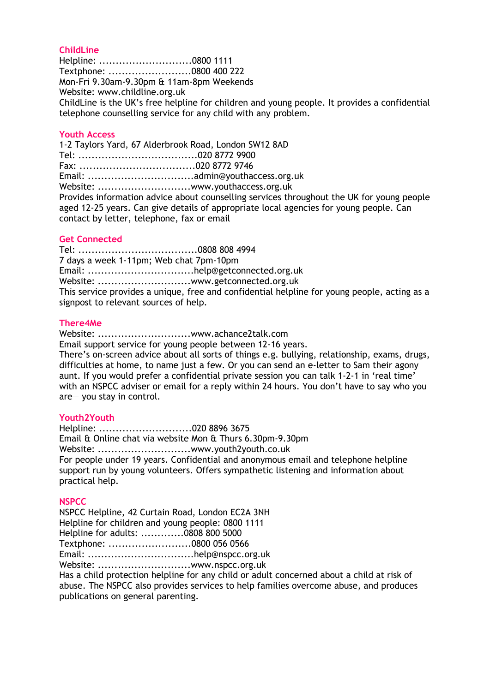## **ChildLine**

Helpline: ............................0800 1111 Textphone: .........................0800 400 222 Mon-Fri 9.30am-9.30pm & 11am-8pm Weekends Website: www.childline.org.uk ChildLine is the UK's free helpline for children and young people. It provides a confidential telephone counselling service for any child with any problem.

#### **Youth Access**

1-2 Taylors Yard, 67 Alderbrook Road, London SW12 8AD Tel: ....................................020 8772 9900 Fax: ...................................020 8772 9746 Email: ................................admin@youthaccess.org.uk Website: ...................................www.youthaccess.org.uk Provides information advice about counselling services throughout the UK for young people aged 12-25 years. Can give details of appropriate local agencies for young people. Can contact by letter, telephone, fax or email

#### **Get Connected**

Tel: ....................................0808 808 4994 7 days a week 1-11pm; Web chat 7pm-10pm Email: ................................help@getconnected.org.uk Website: ...................................www.getconnected.org.uk This service provides a unique, free and confidential helpline for young people, acting as a signpost to relevant sources of help.

### **There4Me**

Website: ............................www.achance2talk.com

Email support service for young people between 12-16 years.

There's on-screen advice about all sorts of things e.g. bullying, relationship, exams, drugs, difficulties at home, to name just a few. Or you can send an e-letter to Sam their agony aunt. If you would prefer a confidential private session you can talk 1-2-1 in 'real time' with an NSPCC adviser or email for a reply within 24 hours. You don't have to say who you are— you stay in control.

### **Youth2Youth**

Helpline: ............................020 8896 3675 Email & Online chat via website Mon & Thurs 6.30pm-9.30pm Website: ..................................www.vouth2vouth.co.uk For people under 19 years. Confidential and anonymous email and telephone helpline support run by young volunteers. Offers sympathetic listening and information about practical help.

#### **NSPCC**

NSPCC Helpline, 42 Curtain Road, London EC2A 3NH Helpline for children and young people: 0800 1111 Helpline for adults: .............0808 800 5000 Textphone: .........................0800 056 0566 Email: ................................help@nspcc.org.uk Website: ............................www.nspcc.org.uk Has a child protection helpline for any child or adult concerned about a child at risk of abuse. The NSPCC also provides services to help families overcome abuse, and produces

publications on general parenting.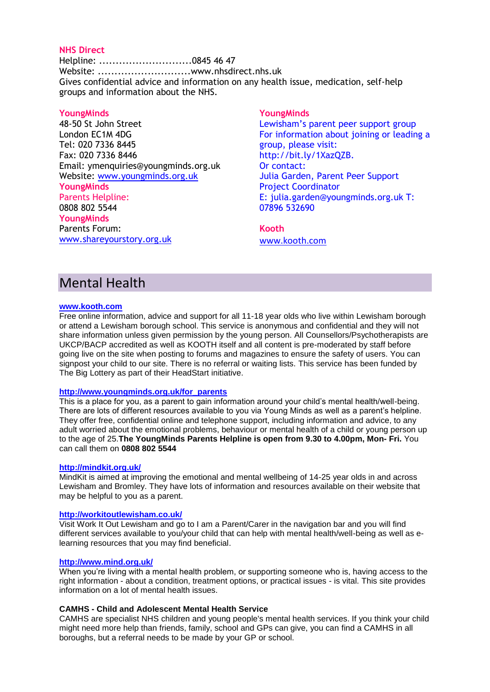### **NHS Direct**

Helpline: ............................0845 46 47 Website: ............................www.nhsdirect.nhs.uk Gives confidential advice and information on any health issue, medication, self-help groups and information about the NHS.

#### **YoungMinds**

48-50 St John Street London EC1M 4DG Tel: 020 7336 8445 Fax: 020 7336 8446 Email: ymenquiries@youngminds.org.uk Website: [www.youngminds.org.uk](http://www.youngminds.org.uk/) **YoungMinds** Parents Helpline: 0808 802 5544 **YoungMinds** Parents Forum: [www.shareyourstory.org.uk](http://www.shareyourstory.org.uk/)

#### **YoungMinds**

Lewisham's parent peer support group For information about joining or leading a group, please visit: http://bit.ly/1XazQZB. Or contact: Julia Garden, Parent Peer Support Project Coordinator E: julia.garden@youngminds.org.uk T: 07896 532690

## **Kooth**

[www.kooth.com](http://www.kooth.com/)

## Mental Health

#### **[www.kooth.com](http://www.kooth.com/)**

Free online information, advice and support for all 11-18 year olds who live within Lewisham borough or attend a Lewisham borough school. This service is anonymous and confidential and they will not share information unless given permission by the young person. All Counsellors/Psychotherapists are UKCP/BACP accredited as well as KOOTH itself and all content is pre-moderated by staff before going live on the site when posting to forums and magazines to ensure the safety of users. You can signpost your child to our site. There is no referral or waiting lists. This service has been funded by The Big Lottery as part of their HeadStart initiative.

#### **[http://www.youngminds.org.uk/for\\_parents](http://www.youngminds.org.uk/for_parents)**

This is a place for you, as a parent to gain information around your child's mental health/well-being. There are lots of different resources available to you via Young Minds as well as a parent's helpline. They offer free, confidential online and telephone support, including information and advice, to any adult worried about the emotional problems, behaviour or mental health of a child or young person up to the age of 25.**The YoungMinds Parents Helpline is open from 9.30 to 4.00pm, Mon- Fri.** You can call them on **0808 802 5544**

#### **<http://mindkit.org.uk/>**

MindKit is aimed at improving the emotional and mental wellbeing of 14-25 year olds in and across Lewisham and Bromley. They have lots of information and resources available on their website that may be helpful to you as a parent.

#### **<http://workitoutlewisham.co.uk/>**

Visit Work It Out Lewisham and go to I am a Parent/Carer in the navigation bar and you will find different services available to you/your child that can help with mental health/well-being as well as elearning resources that you may find beneficial.

#### **<http://www.mind.org.uk/>**

When you're living with a mental health problem, or supporting someone who is, having access to the right information - about a condition, treatment options, or practical issues - is vital. This site provides information on a lot of mental health issues.

#### **CAMHS - Child and Adolescent Mental Health Service**

CAMHS are specialist NHS children and young people's mental health services. If you think your child might need more help than friends, family, school and GPs can give, you can find a CAMHS in all boroughs, but a referral needs to be made by your GP or school.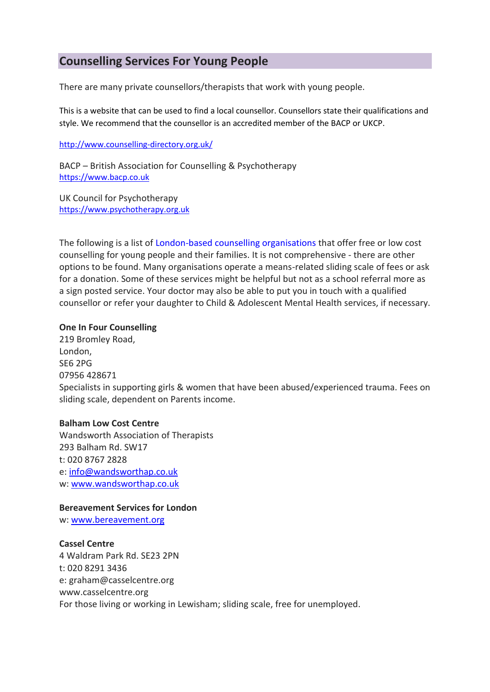## **Counselling Services For Young People**

There are many private counsellors/therapists that work with young people.

This is a website that can be used to find a local counsellor. Counsellors state their qualifications and style. We recommend that the counsellor is an accredited member of the BACP or UKCP.

#### <http://www.counselling-directory.org.uk/>

BACP – British Association for Counselling & Psychotherapy [https://www.bacp.co.uk](https://www.bacp.co.uk/)

UK Council for Psychotherapy [https://www.psychotherapy.org.uk](https://www.psychotherapy.org.uk/)

The following is a list of [London-based counselling organisations](http://www.southeastlondoncounselling.org.uk/whoweare.htm) that offer free or low cost counselling for young people and their families. It is not comprehensive - there are other options to be found. Many organisations operate a means-related sliding scale of fees or ask for a donation. Some of these services might be helpful but not as a school referral more as a sign posted service. Your doctor may also be able to put you in touch with a qualified counsellor or refer your daughter to Child & Adolescent Mental Health services, if necessary.

## **One In Four Counselling**

219 Bromley Road, London, SE6 2PG 07956 428671 Specialists in supporting girls & women that have been abused/experienced trauma. Fees on sliding scale, dependent on Parents income.

## **Balham Low Cost Centre**

Wandsworth Association of Therapists 293 Balham Rd. SW17 t: 020 8767 2828 e: [info@wandsworthap.co.uk](mailto:info@wandsworthap.co.uk) w: [www.wandsworthap.co.uk](http://www.wandsworthap.co.uk/)

## **Bereavement Services for London**

w: [www.bereavement.org](http://www.bereavement.org/)

## **Cassel Centre**

4 Waldram Park Rd. SE23 2PN t: 020 8291 3436 e: graham@casselcentre.org www.casselcentre.org For those living or working in Lewisham; sliding scale, free for unemployed.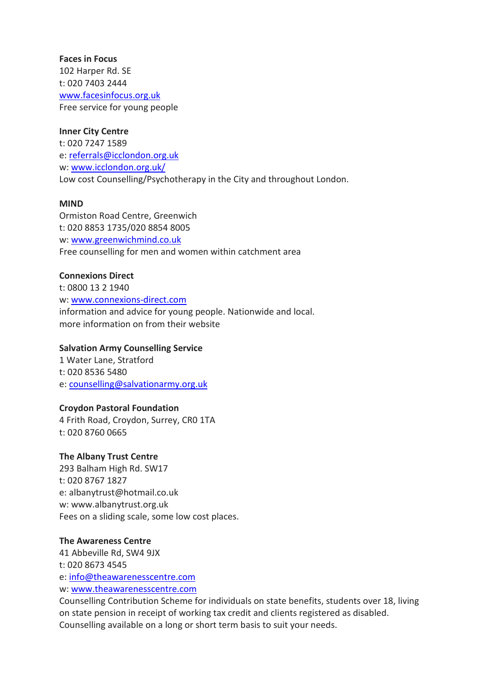## **Faces in Focus** 102 Harper Rd. SE t: 020 7403 2444 [www.facesinfocus.org.uk](http://www.facesinfocus.org.uk/) Free service for young people

### **Inner City Centre**

t: 020 7247 1589 e: [referrals@icclondon.org.uk](mailto:referrals@icclondon.org.uk) w: [www.icclondon.org.uk/](http://www.icclondon.org.uk/) Low cost Counselling/Psychotherapy in the City and throughout London.

### **MIND**

Ormiston Road Centre, Greenwich t: 020 8853 1735/020 8854 8005 w: [www.greenwichmind.co.uk](http://www.greenwichmind.co.uk/) Free counselling for men and women within catchment area

## **Connexions Direct**

t: 0800 13 2 1940 w: [www.connexions-direct.com](http://www.connexions-direct.com/) information and advice for young people. Nationwide and local. more information on from their website

### **Salvation Army Counselling Service**

1 Water Lane, Stratford t: 020 8536 5480 e: [counselling@salvationarmy.org.uk](mailto:counselling@salvationarmy.org.uk)

## **Croydon Pastoral Foundation**

4 Frith Road, Croydon, Surrey, CR0 1TA t: 020 8760 0665

#### **The Albany Trust Centre**

293 Balham High Rd. SW17 t: 020 8767 1827 e: albanytrust@hotmail.co.uk w: www.albanytrust.org.uk Fees on a sliding scale, some low cost places.

#### **The Awareness Centre**

41 Abbeville Rd, SW4 9JX t: 020 8673 4545 e: [info@theawarenesscentre.com](mailto:info@theawarenesscentre.com) w: [www.theawarenesscentre.com](http://www.theawarenesscentre.com/)

Counselling Contribution Scheme for individuals on state benefits, students over 18, living on state pension in receipt of working tax credit and clients registered as disabled. Counselling available on a long or short term basis to suit your needs.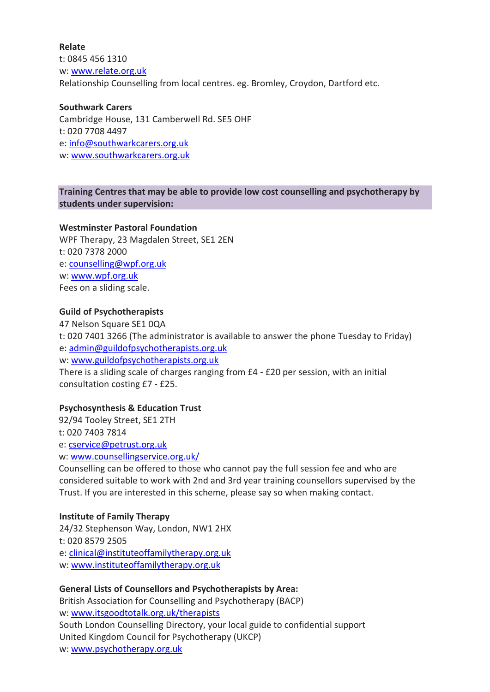**Relate** t: 0845 456 1310 w: [www.relate.org.uk](http://www.relate.org.uk/) Relationship Counselling from local centres. eg. Bromley, Croydon, Dartford etc.

**Southwark Carers** Cambridge House, 131 Camberwell Rd. SE5 OHF t: 020 7708 4497 e: [info@southwarkcarers.org.uk](mailto:info@southwarkcarers.org.uk) w: [www.southwarkcarers.org.uk](http://www.southwarkcarers.org.uk/)

## **Training Centres that may be able to provide low cost counselling and psychotherapy by students under supervision:**

### **Westminster Pastoral Foundation**

WPF Therapy, 23 Magdalen Street, SE1 2EN t: 020 7378 2000 e: [counselling@wpf.org.uk](mailto:counselling@wpf.org.uk) w: [www.wpf.org.uk](http://www.wpf.org.uk/) Fees on a sliding scale.

### **Guild of Psychotherapists**

47 Nelson Square SE1 0QA t: 020 7401 3266 (The administrator is available to answer the phone Tuesday to Friday) e: [admin@guildofpsychotherapists.org.uk](mailto:admin@guildofpsychotherapists.org.uk) w: [www.guildofpsychotherapists.org.uk](http://www.guildofpsychotherapists.org.uk/) There is a sliding scale of charges ranging from £4 - £20 per session, with an initial consultation costing £7 - £25.

## **Psychosynthesis & Education Trust**

92/94 Tooley Street, SE1 2TH t: 020 7403 7814 e: [cservice@petrust.org.uk](mailto:cservice@petrust.org.uk)

w: [www.counsellingservice.org.uk/](http://www.counsellingservice.org.uk/)

Counselling can be offered to those who cannot pay the full session fee and who are considered suitable to work with 2nd and 3rd year training counsellors supervised by the Trust. If you are interested in this scheme, please say so when making contact.

## **Institute of Family Therapy**

24/32 Stephenson Way, London, NW1 2HX t: 020 8579 2505 e: [clinical@instituteoffamilytherapy.org.uk](mailto:clinical@instituteoffamilytherapy.org.uk) w: [www.instituteoffamilytherapy.org.uk](http://www.instituteoffamilytherapy.org.uk/)

## **General Lists of Counsellors and Psychotherapists by Area:**

British Association for Counselling and Psychotherapy (BACP) w: [www.itsgoodtotalk.org.uk/therapists](http://www.itsgoodtotalk.org.uk/therapists) South London Counselling Directory, your local guide to confidential support United Kingdom Council for Psychotherapy (UKCP) w: [www.psychotherapy.org.uk](http://www.psychotherapy.org.uk/)